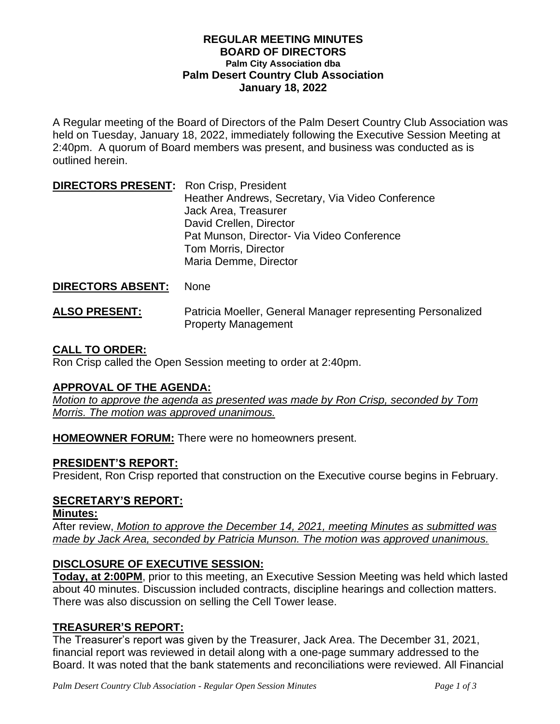#### **REGULAR MEETING MINUTES BOARD OF DIRECTORS Palm City Association dba Palm Desert Country Club Association January 18, 2022**

A Regular meeting of the Board of Directors of the Palm Desert Country Club Association was held on Tuesday, January 18, 2022, immediately following the Executive Session Meeting at 2:40pm. A quorum of Board members was present, and business was conducted as is outlined herein.

| <b>DIRECTORS PRESENT: Ron Crisp, President</b> |                                                  |
|------------------------------------------------|--------------------------------------------------|
|                                                | Heather Andrews, Secretary, Via Video Conference |
|                                                | Jack Area, Treasurer                             |
|                                                | David Crellen, Director                          |
|                                                | Pat Munson, Director- Via Video Conference       |
|                                                | Tom Morris, Director                             |
|                                                | Maria Demme, Director                            |

### **DIRECTORS ABSENT:** None

**ALSO PRESENT:** Patricia Moeller, General Manager representing Personalized Property Management

# **CALL TO ORDER:**

Ron Crisp called the Open Session meeting to order at 2:40pm.

### **APPROVAL OF THE AGENDA:**

*Motion to approve the agenda as presented was made by Ron Crisp, seconded by Tom Morris. The motion was approved unanimous.*

**HOMEOWNER FORUM:** There were no homeowners present.

# **PRESIDENT'S REPORT:**

President, Ron Crisp reported that construction on the Executive course begins in February.

# **SECRETARY'S REPORT:**

### **Minutes:**

After review, *Motion to approve the December 14, 2021, meeting Minutes as submitted was made by Jack Area, seconded by Patricia Munson. The motion was approved unanimous.*

# **DISCLOSURE OF EXECUTIVE SESSION:**

**Today, at 2:00PM**, prior to this meeting, an Executive Session Meeting was held which lasted about 40 minutes. Discussion included contracts, discipline hearings and collection matters. There was also discussion on selling the Cell Tower lease.

# **TREASURER'S REPORT:**

The Treasurer's report was given by the Treasurer, Jack Area. The December 31, 2021, financial report was reviewed in detail along with a one-page summary addressed to the Board. It was noted that the bank statements and reconciliations were reviewed. All Financial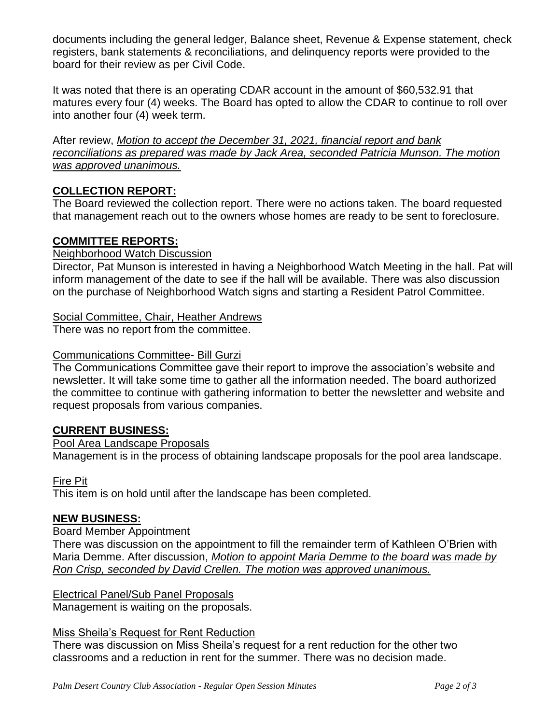documents including the general ledger, Balance sheet, Revenue & Expense statement, check registers, bank statements & reconciliations, and delinquency reports were provided to the board for their review as per Civil Code.

It was noted that there is an operating CDAR account in the amount of \$60,532.91 that matures every four (4) weeks. The Board has opted to allow the CDAR to continue to roll over into another four (4) week term.

After review, *Motion to accept the December 31, 2021, financial report and bank reconciliations as prepared was made by Jack Area, seconded Patricia Munson. The motion was approved unanimous.* 

# **COLLECTION REPORT:**

The Board reviewed the collection report. There were no actions taken. The board requested that management reach out to the owners whose homes are ready to be sent to foreclosure.

# **COMMITTEE REPORTS:**

### Neighborhood Watch Discussion

Director, Pat Munson is interested in having a Neighborhood Watch Meeting in the hall. Pat will inform management of the date to see if the hall will be available. There was also discussion on the purchase of Neighborhood Watch signs and starting a Resident Patrol Committee.

# Social Committee, Chair, Heather Andrews

There was no report from the committee.

### Communications Committee- Bill Gurzi

The Communications Committee gave their report to improve the association's website and newsletter. It will take some time to gather all the information needed. The board authorized the committee to continue with gathering information to better the newsletter and website and request proposals from various companies.

### **CURRENT BUSINESS:**

### Pool Area Landscape Proposals

Management is in the process of obtaining landscape proposals for the pool area landscape.

Fire Pit

This item is on hold until after the landscape has been completed.

### **NEW BUSINESS:**

### Board Member Appointment

There was discussion on the appointment to fill the remainder term of Kathleen O'Brien with Maria Demme. After discussion, *Motion to appoint Maria Demme to the board was made by Ron Crisp, seconded by David Crellen. The motion was approved unanimous.*

### Electrical Panel/Sub Panel Proposals

Management is waiting on the proposals.

### Miss Sheila's Request for Rent Reduction

There was discussion on Miss Sheila's request for a rent reduction for the other two classrooms and a reduction in rent for the summer. There was no decision made.